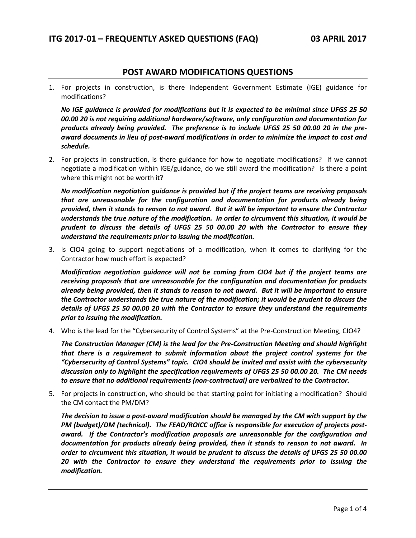# **POST AWARD MODIFICATIONS QUESTIONS**

1. For projects in construction, is there Independent Government Estimate (IGE) guidance for modifications?

*No IGE guidance is provided for modifications but it is expected to be minimal since UFGS 25 50 00.00 20 is not requiring additional hardware/software, only configuration and documentation for products already being provided. The preference is to include UFGS 25 50 00.00 20 in the preaward documents in lieu of post-award modifications in order to minimize the impact to cost and schedule.*

2. For projects in construction, is there guidance for how to negotiate modifications? If we cannot negotiate a modification within IGE/guidance, do we still award the modification? Is there a point where this might not be worth it?

*No modification negotiation guidance is provided but if the project teams are receiving proposals that are unreasonable for the configuration and documentation for products already being provided, then it stands to reason to not award. But it will be important to ensure the Contractor understands the true nature of the modification. In order to circumvent this situation, it would be prudent to discuss the details of UFGS 25 50 00.00 20 with the Contractor to ensure they understand the requirements prior to issuing the modification.*

3. Is CIO4 going to support negotiations of a modification, when it comes to clarifying for the Contractor how much effort is expected?

*Modification negotiation guidance will not be coming from CIO4 but if the project teams are receiving proposals that are unreasonable for the configuration and documentation for products already being provided, then it stands to reason to not award. But it will be important to ensure the Contractor understands the true nature of the modification; it would be prudent to discuss the details of UFGS 25 50 00.00 20 with the Contractor to ensure they understand the requirements prior to issuing the modification.*

4. Who is the lead for the "Cybersecurity of Control Systems" at the Pre-Construction Meeting, CIO4?

*The Construction Manager (CM) is the lead for the Pre-Construction Meeting and should highlight that there is a requirement to submit information about the project control systems for the "Cybersecurity of Control Systems" topic. CIO4 should be invited and assist with the cybersecurity discussion only to highlight the specification requirements of UFGS 25 50 00.00 20. The CM needs to ensure that no additional requirements (non-contractual) are verbalized to the Contractor.*

5. For projects in construction, who should be that starting point for initiating a modification? Should the CM contact the PM/DM?

*The decision to issue a post-award modification should be managed by the CM with support by the PM (budget)/DM (technical). The FEAD/ROICC office is responsible for execution of projects postaward. If the Contractor's modification proposals are unreasonable for the configuration and documentation for products already being provided, then it stands to reason to not award. In order to circumvent this situation, it would be prudent to discuss the details of UFGS 25 50 00.00 20 with the Contractor to ensure they understand the requirements prior to issuing the modification.*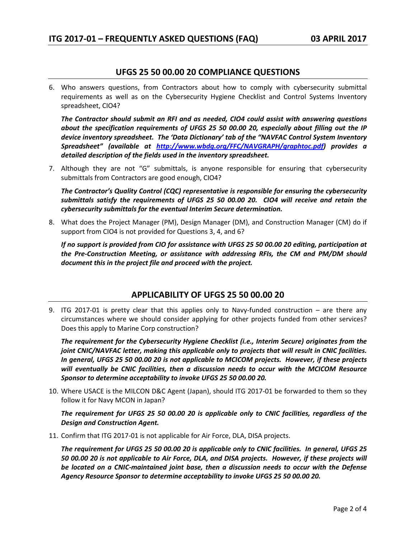# **UFGS 25 50 00.00 20 COMPLIANCE QUESTIONS**

6. Who answers questions, from Contractors about how to comply with cybersecurity submittal requirements as well as on the Cybersecurity Hygiene Checklist and Control Systems Inventory spreadsheet, CIO4?

*The Contractor should submit an RFI and as needed, CIO4 could assist with answering questions about the specification requirements of UFGS 25 50 00.00 20, especially about filling out the IP device inventory spreadsheet. The 'Data Dictionary' tab of the "NAVFAC Control System Inventory Spreadsheet" (available at [http://www.wbdg.org/FFC/NAVGRAPH/graphtoc.pdf\)](http://www.wbdg.org/FFC/NAVGRAPH/graphtoc.pdf) provides a detailed description of the fields used in the inventory spreadsheet.*

7. Although they are not "G" submittals, is anyone responsible for ensuring that cybersecurity submittals from Contractors are good enough, CIO4?

*The Contractor's Quality Control (CQC) representative is responsible for ensuring the cybersecurity submittals satisfy the requirements of UFGS 25 50 00.00 20. CIO4 will receive and retain the cybersecurity submittals for the eventual Interim Secure determination.*

8. What does the Project Manager (PM), Design Manager (DM), and Construction Manager (CM) do if support from CIO4 is not provided for Questions 3, 4, and 6?

*If no support is provided from CIO for assistance with UFGS 25 50 00.00 20 editing, participation at the Pre-Construction Meeting, or assistance with addressing RFIs, the CM and PM/DM should document this in the project file and proceed with the project.*

# **APPLICABILITY OF UFGS 25 50 00.00 20**

9. ITG 2017-01 is pretty clear that this applies only to Navy-funded construction – are there any circumstances where we should consider applying for other projects funded from other services? Does this apply to Marine Corp construction?

*The requirement for the Cybersecurity Hygiene Checklist (i.e., Interim Secure) originates from the joint CNIC/NAVFAC letter, making this applicable only to projects that will result in CNIC facilities. In general, UFGS 25 50 00.00 20 is not applicable to MCICOM projects. However, if these projects will eventually be CNIC facilities, then a discussion needs to occur with the MCICOM Resource Sponsor to determine acceptability to invoke UFGS 25 50 00.00 20.*

10. Where USACE is the MILCON D&C Agent (Japan), should ITG 2017-01 be forwarded to them so they follow it for Navy MCON in Japan?

*The requirement for UFGS 25 50 00.00 20 is applicable only to CNIC facilities, regardless of the Design and Construction Agent.*

11. Confirm that ITG 2017-01 is not applicable for Air Force, DLA, DISA projects.

*The requirement for UFGS 25 50 00.00 20 is applicable only to CNIC facilities. In general, UFGS 25 50 00.00 20 is not applicable to Air Force, DLA, and DISA projects. However, if these projects will be located on a CNIC-maintained joint base, then a discussion needs to occur with the Defense Agency Resource Sponsor to determine acceptability to invoke UFGS 25 50 00.00 20.*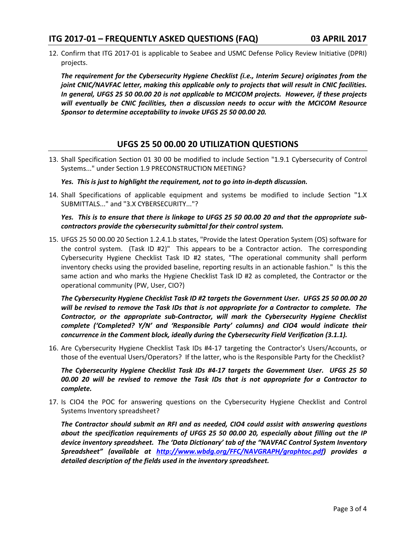12. Confirm that ITG 2017-01 is applicable to Seabee and USMC Defense Policy Review Initiative (DPRI) projects.

*The requirement for the Cybersecurity Hygiene Checklist (i.e., Interim Secure) originates from the joint CNIC/NAVFAC letter, making this applicable only to projects that will result in CNIC facilities. In general, UFGS 25 50 00.00 20 is not applicable to MCICOM projects. However, if these projects will eventually be CNIC facilities, then a discussion needs to occur with the MCICOM Resource Sponsor to determine acceptability to invoke UFGS 25 50 00.00 20.*

# **UFGS 25 50 00.00 20 UTILIZATION QUESTIONS**

13. Shall Specification Section 01 30 00 be modified to include Section "1.9.1 Cybersecurity of Control Systems..." under Section 1.9 PRECONSTRUCTION MEETING?

#### *Yes. This is just to highlight the requirement, not to go into in-depth discussion.*

14. Shall Specifications of applicable equipment and systems be modified to include Section "1.X SUBMITTALS..." and "3.X CYBERSECURITY..."?

#### *Yes. This is to ensure that there is linkage to UFGS 25 50 00.00 20 and that the appropriate subcontractors provide the cybersecurity submittal for their control system.*

15. UFGS 25 50 00.00 20 Section 1.2.4.1.b states, "Provide the latest Operation System (OS) software for the control system. (Task ID #2)" This appears to be a Contractor action. The corresponding Cybersecurity Hygiene Checklist Task ID #2 states, "The operational community shall perform inventory checks using the provided baseline, reporting results in an actionable fashion." Is this the same action and who marks the Hygiene Checklist Task ID #2 as completed, the Contractor or the operational community (PW, User, CIO?)

*The Cybersecurity Hygiene Checklist Task ID #2 targets the Government User. UFGS 25 50 00.00 20 will be revised to remove the Task IDs that is not appropriate for a Contractor to complete. The Contractor, or the appropriate sub-Contractor, will mark the Cybersecurity Hygiene Checklist complete ('Completed? Y/N' and 'Responsible Party' columns) and CIO4 would indicate their concurrence in the Comment block, ideally during the Cybersecurity Field Verification (3.1.1).*

16. Are Cybersecurity Hygiene Checklist Task IDs #4-17 targeting the Contractor's Users/Accounts, or those of the eventual Users/Operators? If the latter, who is the Responsible Party for the Checklist?

*The Cybersecurity Hygiene Checklist Task IDs #4-17 targets the Government User. UFGS 25 50 00.00 20 will be revised to remove the Task IDs that is not appropriate for a Contractor to complete.*

17. Is CIO4 the POC for answering questions on the Cybersecurity Hygiene Checklist and Control Systems Inventory spreadsheet?

*The Contractor should submit an RFI and as needed, CIO4 could assist with answering questions about the specification requirements of UFGS 25 50 00.00 20, especially about filling out the IP device inventory spreadsheet. The 'Data Dictionary' tab of the "NAVFAC Control System Inventory Spreadsheet" (available at [http://www.wbdg.org/FFC/NAVGRAPH/graphtoc.pdf\)](http://www.wbdg.org/FFC/NAVGRAPH/graphtoc.pdf) provides a detailed description of the fields used in the inventory spreadsheet.*